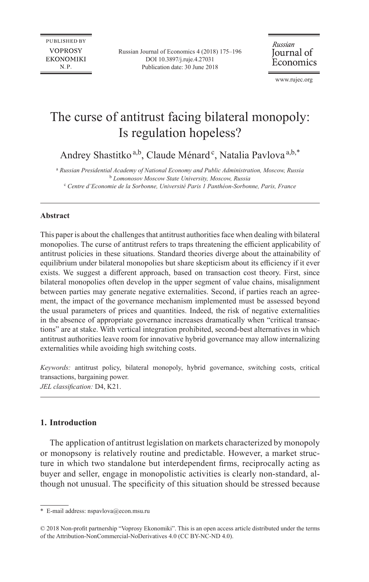Russian Journal of Economics 4 (2018) 175–196 [DOI 10.3897/j.ruje.4.27031](https://doi.org/10.3897/j.ruje.4.27031) Publication date: 30 June 2018

Russian Journal of Economics

[www.rujec.org](http://www.rujec.org)

# The curse of antitrust facing bilateral monopoly: Is regulation hopeless?

Andrey Shastitko<sup>a,b</sup>, Claude Ménard<sup>e</sup>, Natalia Pavlova<sup>a,b,\*</sup>

<sup>a</sup> Russian Presidential Academy of National Economy and Public Administration, Moscow, Russia <sup>b</sup> *Lomonosov Moscow State University, Moscow, Russia* c  *Centre d'Economie de la Sorbonne, Université Paris 1 Panthéon-Sorbonne, Paris, France* 

# **Abstract**

This paper is about the challenges that antitrust authorities face when dealing with bilateral monopolies. The curse of antitrust refers to traps threatening the efficient applicability of antitrust policies in these situations. Standard theories diverge about the attainability of equilibrium under bilateral monopolies but share skepticism about its efficiency if it ever exists. We suggest a different approach, based on transaction cost theory. First, since bilateral monopolies often develop in the upper segment of value chains, misalignment between parties may generate negative externalities. Second, if parties reach an agreement, the impact of the governance mechanism implemented must be assessed beyond the usual parameters of prices and quantities. Indeed, the risk of negative externalities in the absence of appropriate governance increases dramatically when "critical transactions" are at stake. With vertical integration prohibited, second-best alternatives in which antitrust authorities leave room for innovative hybrid governance may allow internalizing externalities while avoiding high switching costs.

*Keywords:* antitrust policy, bilateral monopoly, hybrid governance, switching costs, critical transactions, bargaining power. *JEL classification:* D4, K21.

# **1. Introduction**

The application of antitrust legislation on markets characterized by monopoly or monopsony is relatively routine and predictable. However, a market structure in which two standalone but interdependent firms, reciprocally acting as buyer and seller, engage in monopolistic activities is clearly non-standard, although not unusual. The specificity of this situation should be stressed because

<sup>\*</sup> E-mail address: [nspavlova@econ.msu.ru](mailto:nspavlova@econ.msu.ru)

<sup>© 2018</sup> Non-profit partnership "Voprosy Ekonomiki". This is an open access article distributed under the terms of the Attribution-NonCommercial-NoDerivatives 4.0 (CC BY-NC-ND 4.0).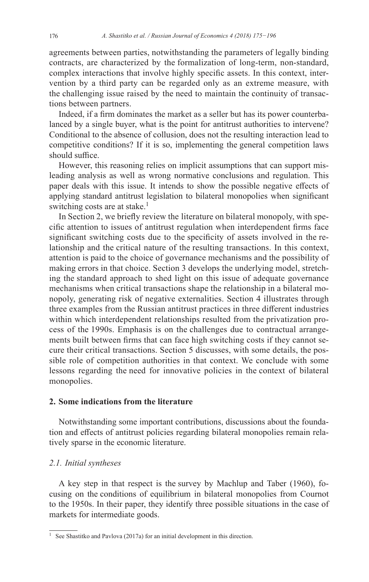agreements between parties, notwithstanding the parameters of legally binding contracts, are characterized by the formalization of long-term, non-standard, complex interactions that involve highly specific assets. In this context, intervention by a third party can be regarded only as an extreme measure, with the challenging issue raised by the need to maintain the continuity of transactions between partners.

Indeed, if a firm dominates the market as a seller but has its power counterbalanced by a single buyer, what is the point for antitrust authorities to intervene? Conditional to the absence of collusion, does not the resulting interaction lead to competitive conditions? If it is so, implementing the general competition laws should suffice.

However, this reasoning relies on implicit assumptions that can support misleading analysis as well as wrong normative conclusions and regulation. This paper deals with this issue. It intends to show the possible negative effects of applying standard antitrust legislation to bilateral monopolies when significant switching costs are at stake.<sup>1</sup>

In Section 2, we briefly review the literature on bilateral monopoly, with specific attention to issues of antitrust regulation when interdependent firms face significant switching costs due to the specificity of assets involved in the relationship and the critical nature of the resulting transactions. In this context, attention is paid to the choice of governance mechanisms and the possibility of making errors in that choice. Section 3 develops the underlying model, stretching the standard approach to shed light on this issue of adequate governance mechanisms when critical transactions shape the relationship in a bilateral monopoly, generating risk of negative externalities. Section 4 illustrates through three examples from the Russian antitrust practices in three different industries within which interdependent relationships resulted from the privatization process of the 1990s. Emphasis is on the challenges due to contractual arrangements built between firms that can face high switching costs if they cannot secure their critical transactions. Section 5 discusses, with some details, the possible role of competition authorities in that context. We conclude with some lessons regarding the need for innovative policies in the context of bilateral monopolies.

# **2. Some indications from the literature**

Notwithstanding some important contributions, discussions about the foundation and effects of antitrust policies regarding bilateral monopolies remain relatively sparse in the economic literature.

## *2.1. Initial syntheses*

A key step in that respect is the survey by Machlup and Taber (1960), focusing on the conditions of equilibrium in bilateral monopolies from Cournot to the 1950s. In their paper, they identify three possible situations in the case of markets for intermediate goods.

<sup>&</sup>lt;sup>1</sup> See Shastitko and Pavlova (2017a) for an initial development in this direction.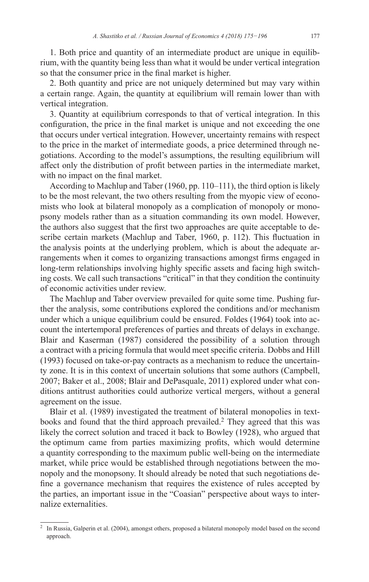1. Both price and quantity of an intermediate product are unique in equilibrium, with the quantity being less than what it would be under vertical integration so that the consumer price in the final market is higher.

2. Both quantity and price are not uniquely determined but may vary within a certain range. Again, the quantity at equilibrium will remain lower than with vertical integration.

3. Quantity at equilibrium corresponds to that of vertical integration. In this configuration, the price in the final market is unique and not exceeding the one that occurs under vertical integration. However, uncertainty remains with respect to the price in the market of intermediate goods, a price determined through negotiations. According to the model's assumptions, the resulting equilibrium will affect only the distribution of profit between parties in the intermediate market, with no impact on the final market.

According to Machlup and Taber (1960, pp. 110–111), the third option is likely to be the most relevant, the two others resulting from the myopic view of economists who look at bilateral monopoly as a complication of monopoly or monopsony models rather than as a situation commanding its own model. However, the authors also suggest that the first two approaches are quite acceptable to describe certain markets (Machlup and Taber, 1960, p. 112). This fluctuation in the analysis points at the underlying problem, which is about the adequate arrangements when it comes to organizing transactions amongst firms engaged in long-term relationships involving highly specific assets and facing high switching costs. We call such transactions "critical" in that they condition the continuity of economic activities under review.

The Machlup and Taber overview prevailed for quite some time. Pushing further the analysis, some contributions explored the conditions and/or mechanism under which a unique equilibrium could be ensured. Foldes (1964) took into account the intertemporal preferences of parties and threats of delays in exchange. Blair and Kaserman (1987) considered the possibility of a solution through a contract with a pricing formula that would meet specific criteria. Dobbs and Hill (1993) focused on take-or-pay contracts as a mechanism to reduce the uncertainty zone. It is in this context of uncertain solutions that some authors (Campbell, 2007; Baker et al., 2008; Blair and DePasquale, 2011) explored under what conditions antitrust authorities could authorize vertical mergers, without a general agreement on the issue.

Blair et al. (1989) investigated the treatment of bilateral monopolies in textbooks and found that the third approach prevailed.<sup>2</sup> They agreed that this was likely the correct solution and traced it back to Bowley (1928), who argued that the optimum came from parties maximizing profits, which would determine a quantity corresponding to the maximum public well-being on the intermediate market, while price would be established through negotiations between the monopoly and the monopsony. It should already be noted that such negotiations define a governance mechanism that requires the existence of rules accepted by the parties, an important issue in the "Coasian" perspective about ways to internalize externalities.

<sup>&</sup>lt;sup>2</sup> In Russia, Galperin et al. (2004), amongst others, proposed a bilateral monopoly model based on the second approach.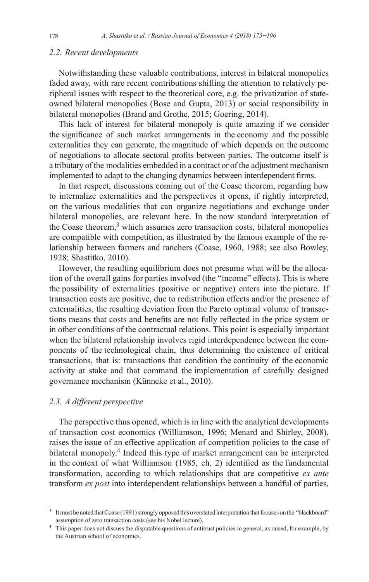### *2.2. Recent developments*

Notwithstanding these valuable contributions, interest in bilateral monopolies faded away, with rare recent contributions shifting the attention to relatively peripheral issues with respect to the theoretical core, e.g. the privatization of stateowned bilateral monopolies (Bose and Gupta, 2013) or social responsibility in bilateral monopolies (Brand and Grothe, 2015; Goering, 2014).

This lack of interest for bilateral monopoly is quite amazing if we consider the significance of such market arrangements in the economy and the possible externalities they can generate, the magnitude of which depends on the outcome of negotiations to allocate sectoral profits between parties. The outcome itself is a tributary of the modalities embedded in a contract or of the adjustment mechanism implemented to adapt to the changing dynamics between interdependent firms.

In that respect, discussions coming out of the Coase theorem, regarding how to internalize externalities and the perspectives it opens, if rightly interpreted, on the various modalities that can organize negotiations and exchange under bilateral monopolies, are relevant here. In the now standard interpretation of the Coase theorem,<sup>3</sup> which assumes zero transaction costs, bilateral monopolies are compatible with competition, as illustrated by the famous example of the relationship between farmers and ranchers (Coase, 1960, 1988; see also Bowley, 1928; Shastitko, 2010).

However, the resulting equilibrium does not presume what will be the allocation of the overall gains for parties involved (the "income" effects). This is where the possibility of externalities (positive or negative) enters into the picture. If transaction costs are positive, due to redistribution effects and/or the presence of externalities, the resulting deviation from the Pareto optimal volume of transactions means that costs and benefits are not fully reflected in the price system or in other conditions of the contractual relations. This point is especially important when the bilateral relationship involves rigid interdependence between the components of the technological chain, thus determining the existence of critical transactions, that is: transactions that condition the continuity of the economic activity at stake and that command the implementation of carefully designed governance mechanism (Künneke et al., 2010).

### *2.3. A different perspective*

The perspective thus opened, which is in line with the analytical developments of transaction cost economics (Williamson, 1996; Menard and Shirley, 2008), raises the issue of an effective application of competition policies to the case of bilateral monopoly.<sup>4</sup> Indeed this type of market arrangement can be interpreted in the context of what Williamson (1985, ch. 2) identified as the fundamental transformation, according to which relationships that are competitive *ex ante*  transform *ex post* into interdependent relationships between a handful of parties,

<sup>&</sup>lt;sup>3</sup> It must be noted that Coase (1991) strongly opposed this overstated interpretation that focuses on the "blackboard" assumption of zero transaction costs (see his Nobel lecture).

<sup>&</sup>lt;sup>4</sup> This paper does not discuss the disputable questions of antitrust policies in general, as raised, for example, by the Austrian school of economics.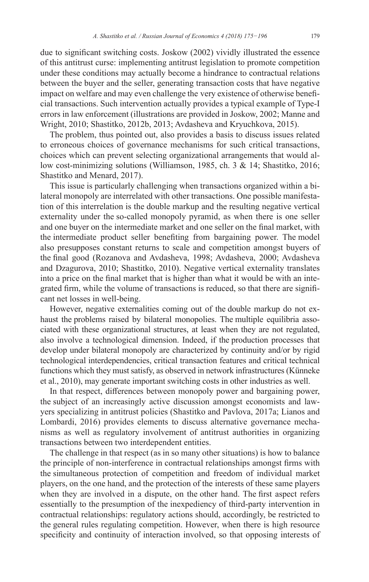due to significant switching costs. Joskow (2002) vividly illustrated the essence of this antitrust curse: implementing antitrust legislation to promote competition under these conditions may actually become a hindrance to contractual relations between the buyer and the seller, generating transaction costs that have negative impact on welfare and may even challenge the very existence of otherwise beneficial transactions. Such intervention actually provides a typical example of Type-I errors in law enforcement (illustrations are provided in Joskow, 2002; Manne and Wright, 2010; Shastitko, 2012b, 2013; Avdasheva and Kryuchkova, 2015).

The problem, thus pointed out, also provides a basis to discuss issues related to erroneous choices of governance mechanisms for such critical transactions, choices which can prevent selecting organizational arrangements that would allow cost-minimizing solutions (Williamson, 1985, ch. 3 & 14; Shastitko, 2016; Shastitko and Menard, 2017).

This issue is particularly challenging when transactions organized within a bilateral monopoly are interrelated with other transactions. One possible manifestation of this interrelation is the double markup and the resulting negative vertical externality under the so-called monopoly pyramid, as when there is one seller and one buyer on the intermediate market and one seller on the final market, with the intermediate product seller benefiting from bargaining power. The model also presupposes constant returns to scale and competition amongst buyers of the final good (Rozanova and Avdasheva, 1998; Avdasheva, 2000; Avdasheva and Dzagurova, 2010; Shastitko, 2010). Negative vertical externality translates into a price on the final market that is higher than what it would be with an integrated firm, while the volume of transactions is reduced, so that there are significant net losses in well-being.

However, negative externalities coming out of the double markup do not exhaust the problems raised by bilateral monopolies. The multiple equilibria associated with these organizational structures, at least when they are not regulated, also involve a technological dimension. Indeed, if the production processes that develop under bilateral monopoly are characterized by continuity and/or by rigid technological interdependencies, critical transaction features and critical technical functions which they must satisfy, as observed in network infrastructures (Künneke et al., 2010), may generate important switching costs in other industries as well.

In that respect, differences between monopoly power and bargaining power, the subject of an increasingly active discussion amongst economists and lawyers specializing in antitrust policies (Shastitko and Pavlova, 2017a; Lianos and Lombardi, 2016) provides elements to discuss alternative governance mechanisms as well as regulatory involvement of antitrust authorities in organizing transactions between two interdependent entities.

The challenge in that respect (as in so many other situations) is how to balance the principle of non-interference in contractual relationships amongst firms with the simultaneous protection of competition and freedom of individual market players, on the one hand, and the protection of the interests of these same players when they are involved in a dispute, on the other hand. The first aspect refers essentially to the presumption of the inexpediency of third-party intervention in contractual relationships: regulatory actions should, accordingly, be restricted to the general rules regulating competition. However, when there is high resource specificity and continuity of interaction involved, so that opposing interests of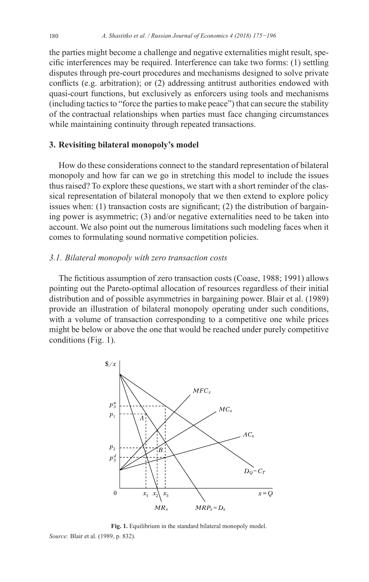the parties might become a challenge and negative externalities might result, specific interferences may be required. Interference can take two forms: (1) settling disputes through pre-court procedures and mechanisms designed to solve private conflicts (e.g. arbitration); or (2) addressing antitrust authorities endowed with quasi-court functions, but exclusively as enforcers using tools and mechanisms (including tactics to "force the parties to make peace") that can secure the stability of the contractual relationships when parties must face changing circumstances while maintaining continuity through repeated transactions.

### **3. Revisiting bilateral monopoly's model**

How do these considerations connect to the standard representation of bilateral monopoly and how far can we go in stretching this model to include the issues thus raised? To explore these questions, we start with a short reminder of the classical representation of bilateral monopoly that we then extend to explore policy issues when: (1) transaction costs are significant; (2) the distribution of bargaining power is asymmetric; (3) and/or negative externalities need to be taken into account. We also point out the numerous limitations such modeling faces when it comes to formulating sound normative competition policies.

### *3.1. Bilateral monopoly with zero transaction costs*

The fictitious assumption of zero transaction costs (Coase, 1988; 1991) allows pointing out the Pareto-optimal allocation of resources regardless of their initial distribution and of possible asymmetries in bargaining power. Blair et al. (1989) provide an illustration of bilateral monopoly operating under such conditions, with a volume of transaction corresponding to a competitive one while prices might be below or above the one that would be reached under purely competitive conditions (Fig. 1).



**Fig. 1.** Equilibrium in the standard bilateral monopoly model. *Source:* Blair et al. (1989, p. 832).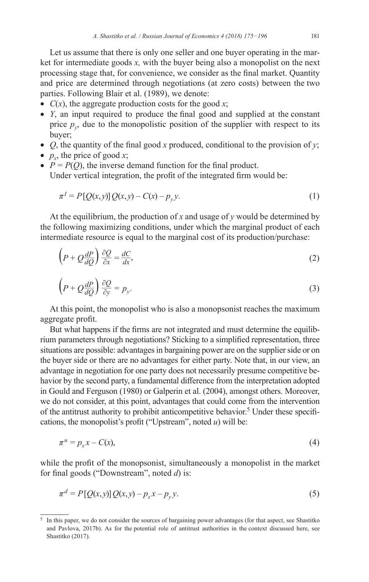Let us assume that there is only one seller and one buyer operating in the market for intermediate goods *x,* with the buyer being also a monopolist on the next processing stage that, for convenience, we consider as the final market. Quantity and price are determined through negotiations (at zero costs) between the two parties. Following Blair et al. (1989), we denote:

- $C(x)$ , the aggregate production costs for the good x;
- *Y*, an input required to produce the final good and supplied at the constant price  $p_v$ , due to the monopolistic position of the supplier with respect to its buyer;
- *Q*, the quantity of the final good *x* produced, conditional to the provision of *y*;
- $p_r$ , the price of good *x*;
- $P = P(Q)$ , the inverse demand function for the final product. Under vertical integration, the profit of the integrated firm would be:

$$
\pi^{I} = P[Q(x, y)]Q(x, y) - C(x) - p_{y}y.
$$
\n(1)

At the equilibrium, the production of *x* and usage of *y* would be determined by the following maximizing conditions, under which the marginal product of each intermediate resource is equal to the marginal cost of its production/purchase:

$$
\left(P + Q\frac{dP}{dQ}\right)\frac{\partial Q}{\partial x} = \frac{dC}{dx},\tag{2}
$$

$$
\left(P + Q\frac{dP}{dQ}\right)\frac{\partial Q}{\partial y} = p_y.
$$
\n(3)

At this point, the monopolist who is also a monopsonist reaches the maximum aggregate profit.

But what happens if the firms are not integrated and must determine the equilibrium parameters through negotiations? Sticking to a simplified representation, three situations are possible: advantages in bargaining power are on the supplier side or on the buyer side or there are no advantages for either party. Note that, in our view, an advantage in negotiation for one party does not necessarily presume competitive behavior by the second party, a fundamental difference from the interpretation adopted in Gould and Ferguson (1980) or Galperin et al. (2004), amongst others. Moreover, we do not consider, at this point, advantages that could come from the intervention of the antitrust authority to prohibit anticompetitive behavior.<sup>5</sup> Under these specifications, the monopolist's profit ("Upstream", noted *u*) will be:

$$
\pi^u = p_x x - C(x),\tag{4}
$$

while the profit of the monopsonist, simultaneously a monopolist in the market for final goods ("Downstream", noted *d*) is:

$$
\pi^d = P\left[Q(x, y)\right]Q(x, y) - p_x x - p_y y. \tag{5}
$$

<sup>5</sup> In this paper, we do not consider the sources of bargaining power advantages (for that aspect, see Shastitko and Pavlova, 2017b). As for the potential role of antitrust authorities in the context discussed here, see Shastitko (2017).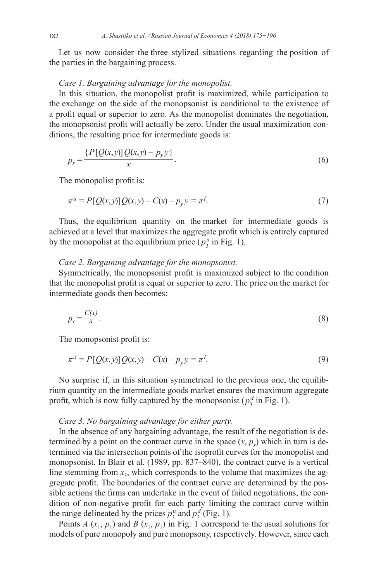Let us now consider the three stylized situations regarding the position of the parties in the bargaining process.

### *Case 1. Bargaining advantage for the monopolist.*

In this situation, the monopolist profit is maximized, while participation to the exchange on the side of the monopsonist is conditional to the existence of a profit equal or superior to zero. As the monopolist dominates the negotiation, the monopsonist profit will actually be zero. Under the usual maximization conditions, the resulting price for intermediate goods is:

$$
p_x = \frac{\{P[Q(x, y)]Q(x, y) - p_y y\}}{x}.
$$
\n(6)

The monopolist profit is:

$$
\pi^{u} = P[Q(x, y)]Q(x, y) - C(x) - p_{y}y = \pi^{I}.
$$
\n(7)

Thus, the equilibrium quantity on the market for intermediate goods is achieved at a level that maximizes the aggregate profit which is entirely captured by the monopolist at the equilibrium price  $(p_3^u$  in Fig. 1).

### *Case 2. Bargaining advantage for the monopsonist.*

Symmetrically, the monopsonist profit is maximized subject to the condition that the monopolist profit is equal or superior to zero. The price on the market for intermediate goods then becomes:

$$
p_x = \frac{C(x)}{x}.\tag{8}
$$

The monopsonist profit is:

$$
\pi^d = P[Q(x, y)]Q(x, y) - C(x) - p_y y = \pi^I.
$$
\n(9)

No surprise if, in this situation symmetrical to the previous one, the equilibrium quantity on the intermediate goods market ensures the maximum aggregate profit, which is now fully captured by the monopsonist  $(p_3^d$  in Fig. 1).

#### *Case 3. No bargaining advantage for either party.*

In the absence of any bargaining advantage, the result of the negotiation is determined by a point on the contract curve in the space  $(x, p_x)$  which in turn is determined via the intersection points of the isoprofit curves for the monopolist and monopsonist. In Blair et al. (1989, pp. 837–840), the contract curve is a vertical line stemming from  $x_3$ , which corresponds to the volume that maximizes the aggregate profit. The boundaries of the contract curve are determined by the possible actions the firms can undertake in the event of failed negotiations, the condition of non-negative profit for each party limiting the contract curve within the range delineated by the prices  $p_3^u$  and  $p_3^d$  (Fig. 1).

Points *A*  $(x_1, p_1)$  and *B*  $(x_1, p_1)$  in Fig. 1 correspond to the usual solutions for models of pure monopoly and pure monopsony, respectively. However, since each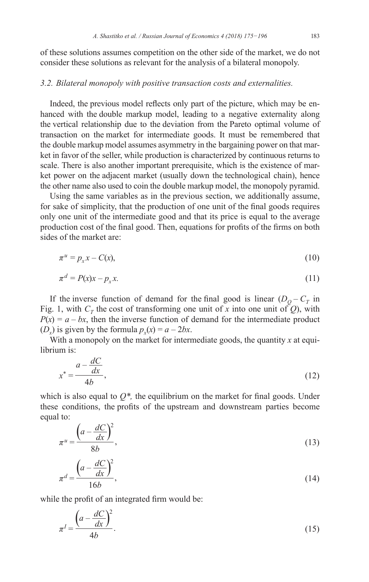of these solutions assumes competition on the other side of the market, we do not consider these solutions as relevant for the analysis of a bilateral monopoly.

### *3.2. Bilateral monopoly with positive transaction costs and externalities.*

Indeed, the previous model reflects only part of the picture, which may be enhanced with the double markup model, leading to a negative externality along the vertical relationship due to the deviation from the Pareto optimal volume of transaction on the market for intermediate goods. It must be remembered that the double markup model assumes asymmetry in the bargaining power on that market in favor of the seller, while production is characterized by continuous returns to scale. There is also another important prerequisite, which is the existence of market power on the adjacent market (usually down the technological chain), hence the other name also used to coin the double markup model, the monopoly pyramid.

Using the same variables as in the previous section, we additionally assume, for sake of simplicity, that the production of one unit of the final goods requires only one unit of the intermediate good and that its price is equal to the average production cost of the final good. Then, equations for profits of the firms on both sides of the market are:

$$
\pi^u = p_x x - C(x),\tag{10}
$$

$$
\pi^d = P(x)x - p_x x. \tag{11}
$$

If the inverse function of demand for the final good is linear  $(D<sub>O</sub> - C<sub>T</sub>$  in Fig. 1, with  $C_T$  the cost of transforming one unit of x into one unit of Q), with  $P(x) = a - bx$ , then the inverse function of demand for the intermediate product  $(D_x)$  is given by the formula  $p_x(x) = a - 2bx$ .

With a monopoly on the market for intermediate goods, the quantity *x* at equilibrium is:

$$
x^* = \frac{a - \frac{dC}{dx}}{4b},\tag{12}
$$

which is also equal to  $Q^*$ , the equilibrium on the market for final goods. Under these conditions, the profits of the upstream and downstream parties become equal to:

$$
\pi^u = \frac{\left(a - \frac{dC}{dx}\right)^2}{8b},\tag{13}
$$

$$
\pi^d = \frac{\left(a - \frac{dC}{dx}\right)^2}{16b},\tag{14}
$$

while the profit of an integrated firm would be:

$$
\pi^I = \frac{\left(a - \frac{dC}{dx}\right)^2}{4b}.\tag{15}
$$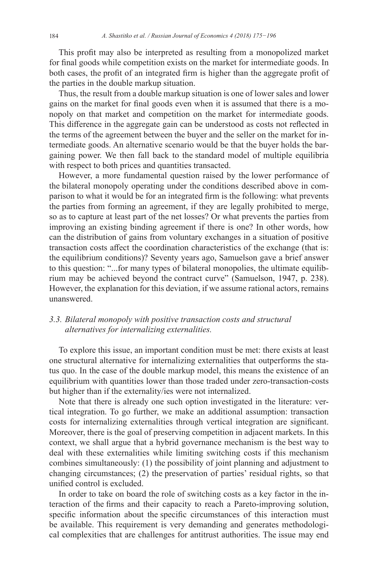This profit may also be interpreted as resulting from a monopolized market for final goods while competition exists on the market for intermediate goods. In both cases, the profit of an integrated firm is higher than the aggregate profit of the parties in the double markup situation.

Thus, the result from a double markup situation is one of lower sales and lower gains on the market for final goods even when it is assumed that there is a monopoly on that market and competition on the market for intermediate goods. This difference in the aggregate gain can be understood as costs not reflected in the terms of the agreement between the buyer and the seller on the market for intermediate goods. An alternative scenario would be that the buyer holds the bargaining power. We then fall back to the standard model of multiple equilibria with respect to both prices and quantities transacted.

However, a more fundamental question raised by the lower performance of the bilateral monopoly operating under the conditions described above in comparison to what it would be for an integrated firm is the following: what prevents the parties from forming an agreement, if they are legally prohibited to merge, so as to capture at least part of the net losses? Or what prevents the parties from improving an existing binding agreement if there is one? In other words, how can the distribution of gains from voluntary exchanges in a situation of positive transaction costs affect the coordination characteristics of the exchange (that is: the equilibrium conditions)? Seventy years ago, Samuelson gave a brief answer to this question: "...for many types of bilateral monopolies, the ultimate equilibrium may be achieved beyond the contract curve" (Samuelson, 1947, p. 238). However, the explanation for this deviation, if we assume rational actors, remains unanswered.

# *3.3. Bilateral monopoly with positive transaction costs and structural alternatives for internalizing externalities.*

To explore this issue, an important condition must be met: there exists at least one structural alternative for internalizing externalities that outperforms the status quo. In the case of the double markup model, this means the existence of an equilibrium with quantities lower than those traded under zero-transaction-costs but higher than if the externality/ies were not internalized.

Note that there is already one such option investigated in the literature: vertical integration. To go further, we make an additional assumption: transaction costs for internalizing externalities through vertical integration are significant. Moreover, there is the goal of preserving competition in adjacent markets. In this context, we shall argue that a hybrid governance mechanism is the best way to deal with these externalities while limiting switching costs if this mechanism combines simultaneously: (1) the possibility of joint planning and adjustment to changing circumstances; (2) the preservation of parties' residual rights, so that unified control is excluded.

In order to take on board the role of switching costs as a key factor in the interaction of the firms and their capacity to reach a Pareto-improving solution, specific information about the specific circumstances of this interaction must be available. This requirement is very demanding and generates methodological complexities that are challenges for antitrust authorities. The issue may end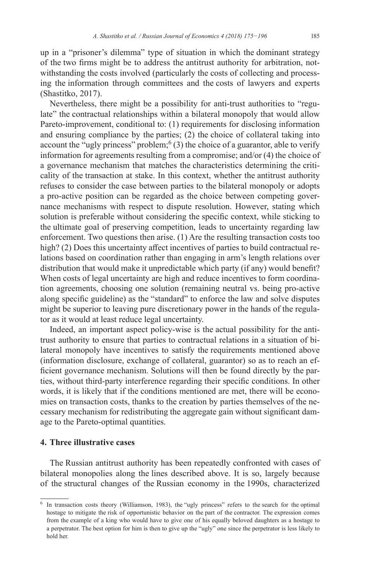up in a "prisoner's dilemma" type of situation in which the dominant strategy of the two firms might be to address the antitrust authority for arbitration, notwithstanding the costs involved (particularly the costs of collecting and processing the information through committees and the costs of lawyers and experts (Shastitko, 2017).

Nevertheless, there might be a possibility for anti-trust authorities to "regulate" the contractual relationships within a bilateral monopoly that would allow Pareto-improvement, conditional to: (1) requirements for disclosing information and ensuring compliance by the parties; (2) the choice of collateral taking into account the "ugly princess" problem;  $(3)$  the choice of a guarantor, able to verify information for agreements resulting from a compromise; and/or (4) the choice of a governance mechanism that matches the characteristics determining the criticality of the transaction at stake. In this context, whether the antitrust authority refuses to consider the case between parties to the bilateral monopoly or adopts a pro-active position can be regarded as the choice between competing governance mechanisms with respect to dispute resolution. However, stating which solution is preferable without considering the specific context, while sticking to the ultimate goal of preserving competition, leads to uncertainty regarding law enforcement. Two questions then arise. (1) Are the resulting transaction costs too high? (2) Does this uncertainty affect incentives of parties to build contractual relations based on coordination rather than engaging in arm's length relations over distribution that would make it unpredictable which party (if any) would benefit? When costs of legal uncertainty are high and reduce incentives to form coordination agreements, choosing one solution (remaining neutral vs. being pro-active along specific guideline) as the "standard" to enforce the law and solve disputes might be superior to leaving pure discretionary power in the hands of the regulator as it would at least reduce legal uncertainty.

Indeed, an important aspect policy-wise is the actual possibility for the antitrust authority to ensure that parties to contractual relations in a situation of bilateral monopoly have incentives to satisfy the requirements mentioned above (information disclosure, exchange of collateral, guarantor) so as to reach an efficient governance mechanism. Solutions will then be found directly by the parties, without third-party interference regarding their specific conditions. In other words, it is likely that if the conditions mentioned are met, there will be economies on transaction costs, thanks to the creation by parties themselves of the necessary mechanism for redistributing the aggregate gain without significant damage to the Pareto-optimal quantities.

### **4. Three illustrative cases**

The Russian antitrust authority has been repeatedly confronted with cases of bilateral monopolies along the lines described above. It is so, largely because of the structural changes of the Russian economy in the 1990s, characterized

<sup>6</sup> In transaction costs theory (Williamson, 1983), the "ugly princess" refers to the search for the optimal hostage to mitigate the risk of opportunistic behavior on the part of the contractor. The expression comes from the example of a king who would have to give one of his equally beloved daughters as a hostage to a perpetrator. The best option for him is then to give up the "ugly" one since the perpetrator is less likely to hold her.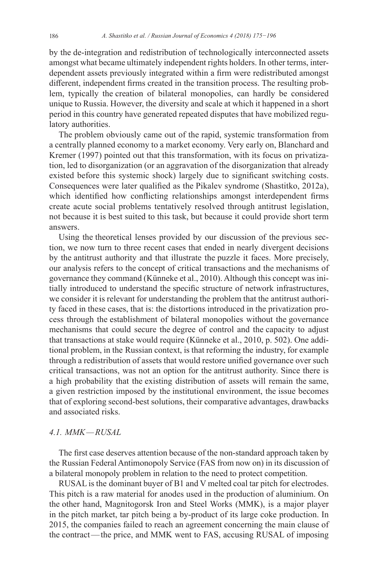by the de-integration and redistribution of technologically interconnected assets amongst what became ultimately independent rights holders. In other terms, interdependent assets previously integrated within a firm were redistributed amongst different, independent firms created in the transition process. The resulting problem, typically the creation of bilateral monopolies, can hardly be considered unique to Russia. However, the diversity and scale at which it happened in a short period in this country have generated repeated disputes that have mobilized regulatory authorities.

The problem obviously came out of the rapid, systemic transformation from a centrally planned economy to a market economy. Very early on, Blanchard and Kremer (1997) pointed out that this transformation, with its focus on privatization, led to disorganization (or an aggravation of the disorganization that already existed before this systemic shock) largely due to significant switching costs. Consequences were later qualified as the Pikalev syndrome (Shastitko, 2012a), which identified how conflicting relationships amongst interdependent firms create acute social problems tentatively resolved through antitrust legislation, not because it is best suited to this task, but because it could provide short term answers.

Using the theoretical lenses provided by our discussion of the previous section, we now turn to three recent cases that ended in nearly divergent decisions by the antitrust authority and that illustrate the puzzle it faces. More precisely, our analysis refers to the concept of critical transactions and the mechanisms of governance they command (Künneke et al., 2010). Although this concept was initially introduced to understand the specific structure of network infrastructures, we consider it is relevant for understanding the problem that the antitrust authority faced in these cases, that is: the distortions introduced in the privatization process through the establishment of bilateral monopolies without the governance mechanisms that could secure the degree of control and the capacity to adjust that transactions at stake would require (Künneke et al., 2010, p. 502). One additional problem, in the Russian context, is that reforming the industry, for example through a redistribution of assets that would restore unified governance over such critical transactions, was not an option for the antitrust authority. Since there is a high probability that the existing distribution of assets will remain the same, a given restriction imposed by the institutional environment, the issue becomes that of exploring second-best solutions, their comparative advantages, drawbacks and associated risks.

# *4.1. MMK—RUSAL*

The first case deserves attention because of the non-standard approach taken by the Russian Federal Antimonopoly Service (FAS from now on) in its discussion of a bilateral monopoly problem in relation to the need to protect competition.

RUSAL is the dominant buyer of B1 and V melted coal tar pitch for electrodes. This pitch is a raw material for anodes used in the production of aluminium. On the other hand, Magnitogorsk Iron and Steel Works (MMK), is a major player in the pitch market, tar pitch being a by-product of its large coke production. In 2015, the companies failed to reach an agreement concerning the main clause of the contract—the price, and MMK went to FAS, accusing RUSAL of imposing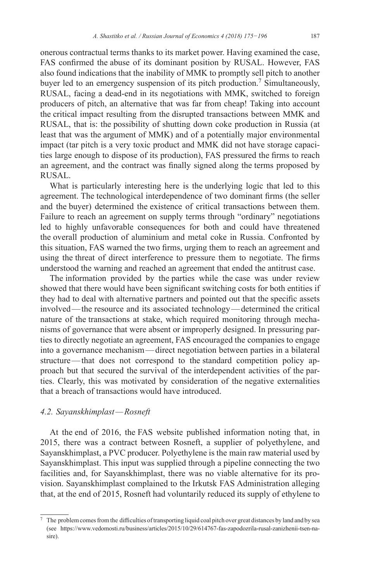onerous contractual terms thanks to its market power. Having examined the case, FAS confirmed the abuse of its dominant position by RUSAL. However, FAS also found indications that the inability of MMK to promptly sell pitch to another buyer led to an emergency suspension of its pitch production.<sup>7</sup> Simultaneously, RUSAL, facing a dead-end in its negotiations with MMK, switched to foreign producers of pitch, an alternative that was far from cheap! Taking into account the critical impact resulting from the disrupted transactions between MMK and RUSAL, that is: the possibility of shutting down coke production in Russia (at least that was the argument of MMK) and of a potentially major environmental impact (tar pitch is a very toxic product and MMK did not have storage capacities large enough to dispose of its production), FAS pressured the firms to reach an agreement, and the contract was finally signed along the terms proposed by RUSAL.

What is particularly interesting here is the underlying logic that led to this agreement. The technological interdependence of two dominant firms (the seller and the buyer) determined the existence of critical transactions between them. Failure to reach an agreement on supply terms through "ordinary" negotiations led to highly unfavorable consequences for both and could have threatened the overall production of aluminium and metal coke in Russia. Confronted by this situation, FAS warned the two firms, urging them to reach an agreement and using the threat of direct interference to pressure them to negotiate. The firms understood the warning and reached an agreement that ended the antitrust case.

The information provided by the parties while the case was under review showed that there would have been significant switching costs for both entities if they had to deal with alternative partners and pointed out that the specific assets involved—the resource and its associated technology—determined the critical nature of the transactions at stake, which required monitoring through mechanisms of governance that were absent or improperly designed. In pressuring parties to directly negotiate an agreement, FAS encouraged the companies to engage into a governance mechanism—direct negotiation between parties in a bilateral structure—that does not correspond to the standard competition policy approach but that secured the survival of the interdependent activities of the parties. Clearly, this was motivated by consideration of the negative externalities that a breach of transactions would have introduced.

# *4.2. Sayanskhimplast—Rosneft*

At the end of 2016, the FAS website published information noting that, in 2015, there was a contract between Rosneft, a supplier of polyethylene, and Sayanskhimplast, a PVC producer. Polyethylene is the main raw material used by Sayanskhimplast. This input was supplied through a pipeline connecting the two facilities and, for Sayanskhimplast, there was no viable alternative for its provision. Sayanskhimplast complained to the Irkutsk FAS Administration alleging that, at the end of 2015, Rosneft had voluntarily reduced its supply of ethylene to

 $^7\:$  The problem comes from the difficulties of transporting liquid coal pitch over great distances by land and by sea (see [https://www.vedomosti.ru/business/articles/2015/10/29/614767-fas-zapodozrila-rusal-zanizhenii-tsen-na](https://www.vedomosti.ru/business/articles/2015/10/29/614767-fas-zapodozrila-rusal-zanizhenii-tsen-na-sire)[sire](https://www.vedomosti.ru/business/articles/2015/10/29/614767-fas-zapodozrila-rusal-zanizhenii-tsen-na-sire)).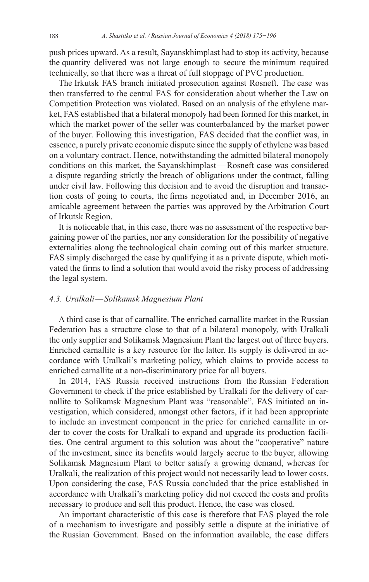push prices upward. As a result, Sayanskhimplast had to stop its activity, because the quantity delivered was not large enough to secure the minimum required technically, so that there was a threat of full stoppage of PVC production.

The Irkutsk FAS branch initiated prosecution against Rosneft. The case was then transferred to the central FAS for consideration about whether the Law on Competition Protection was violated. Based on an analysis of the ethylene market, FAS established that a bilateral monopoly had been formed for this market, in which the market power of the seller was counterbalanced by the market power of the buyer. Following this investigation, FAS decided that the conflict was, in essence, a purely private economic dispute since the supply of ethylene was based on a voluntary contract. Hence, notwithstanding the admitted bilateral monopoly conditions on this market, the Sayanskhimplast—Rosneft case was considered a dispute regarding strictly the breach of obligations under the contract, falling under civil law. Following this decision and to avoid the disruption and transaction costs of going to courts, the firms negotiated and, in December 2016, an amicable agreement between the parties was approved by the Arbitration Court of Irkutsk Region.

It is noticeable that, in this case, there was no assessment of the respective bargaining power of the parties, nor any consideration for the possibility of negative externalities along the technological chain coming out of this market structure. FAS simply discharged the case by qualifying it as a private dispute, which motivated the firms to find a solution that would avoid the risky process of addressing the legal system.

# *4.3. Uralkali—Solikamsk Magnesium Plant*

A third case is that of carnallite. The enriched carnallite market in the Russian Federation has a structure close to that of a bilateral monopoly, with Uralkali the only supplier and Solikamsk Magnesium Plant the largest out of three buyers. Enriched carnallite is a key resource for the latter. Its supply is delivered in accordance with Uralkali's marketing policy, which claims to provide access to enriched carnallite at a non-discriminatory price for all buyers.

In 2014, FAS Russia received instructions from the Russian Federation Government to check if the price established by Uralkali for the delivery of carnallite to Solikamsk Magnesium Plant was "reasonable". FAS initiated an investigation, which considered, amongst other factors, if it had been appropriate to include an investment component in the price for enriched carnallite in order to cover the costs for Uralkali to expand and upgrade its production facilities. One central argument to this solution was about the "cooperative" nature of the investment, since its benefits would largely accrue to the buyer, allowing Solikamsk Magnesium Plant to better satisfy a growing demand, whereas for Uralkali, the realization of this project would not necessarily lead to lower costs. Upon considering the case, FAS Russia concluded that the price established in accordance with Uralkali's marketing policy did not exceed the costs and profits necessary to produce and sell this product. Hence, the case was closed.

An important characteristic of this case is therefore that FAS played the role of a mechanism to investigate and possibly settle a dispute at the initiative of the Russian Government. Based on the information available, the case differs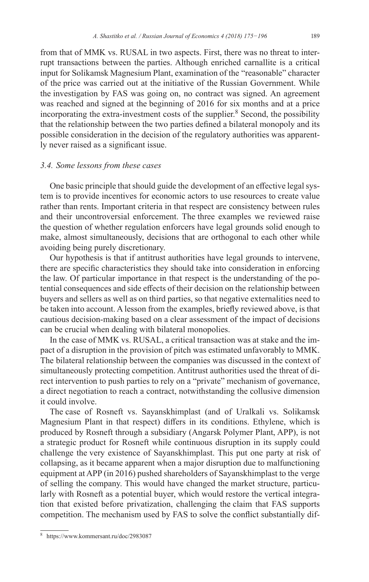from that of MMK vs. RUSAL in two aspects. First, there was no threat to interrupt transactions between the parties. Although enriched carnallite is a critical input for Solikamsk Magnesium Plant, examination of the "reasonable" character of the price was carried out at the initiative of the Russian Government. While the investigation by FAS was going on, no contract was signed. An agreement was reached and signed at the beginning of 2016 for six months and at a price incorporating the extra-investment costs of the supplier.<sup>8</sup> Second, the possibility that the relationship between the two parties defined a bilateral monopoly and its possible consideration in the decision of the regulatory authorities was apparently never raised as a significant issue.

# *3.4. Some lessons from these cases*

One basic principle that should guide the development of an effective legal system is to provide incentives for economic actors to use resources to create value rather than rents. Important criteria in that respect are consistency between rules and their uncontroversial enforcement. The three examples we reviewed raise the question of whether regulation enforcers have legal grounds solid enough to make, almost simultaneously, decisions that are orthogonal to each other while avoiding being purely discretionary.

Our hypothesis is that if antitrust authorities have legal grounds to intervene, there are specific characteristics they should take into consideration in enforcing the law. Of particular importance in that respect is the understanding of the potential consequences and side effects of their decision on the relationship between buyers and sellers as well as on third parties, so that negative externalities need to be taken into account. A lesson from the examples, briefly reviewed above, is that cautious decision-making based on a clear assessment of the impact of decisions can be crucial when dealing with bilateral monopolies.

In the case of MMK vs. RUSAL, a critical transaction was at stake and the impact of a disruption in the provision of pitch was estimated unfavorably to MMK. The bilateral relationship between the companies was discussed in the context of simultaneously protecting competition. Antitrust authorities used the threat of direct intervention to push parties to rely on a "private" mechanism of governance, a direct negotiation to reach a contract, notwithstanding the collusive dimension it could involve.

The case of Rosneft vs. Sayanskhimplast (and of Uralkali vs. Solikamsk Magnesium Plant in that respect) differs in its conditions. Ethylene, which is produced by Rosneft through a subsidiary (Angarsk Polymer Plant, APP), is not a strategic product for Rosneft while continuous disruption in its supply could challenge the very existence of Sayanskhimplast. This put one party at risk of collapsing, as it became apparent when a major disruption due to malfunctioning equipment at APP (in 2016) pushed shareholders of Sayanskhimplast to the verge of selling the company. This would have changed the market structure, particularly with Rosneft as a potential buyer, which would restore the vertical integration that existed before privatization, challenging the claim that FAS supports competition. The mechanism used by FAS to solve the conflict substantially dif-

<sup>8</sup> <https://www.kommersant.ru/doc/2983087>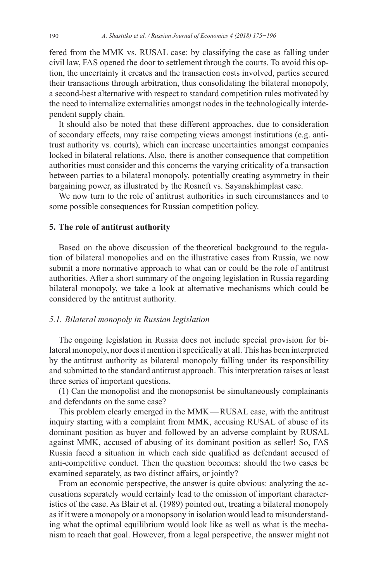fered from the MMK vs. RUSAL case: by classifying the case as falling under civil law, FAS opened the door to settlement through the courts. To avoid this option, the uncertainty it creates and the transaction costs involved, parties secured their transactions through arbitration, thus consolidating the bilateral monopoly, a second-best alternative with respect to standard competition rules motivated by the need to internalize externalities amongst nodes in the technologically interdependent supply chain.

It should also be noted that these different approaches, due to consideration of secondary effects, may raise competing views amongst institutions (e.g. antitrust authority vs. courts), which can increase uncertainties amongst companies locked in bilateral relations. Also, there is another consequence that competition authorities must consider and this concerns the varying criticality of a transaction between parties to a bilateral monopoly, potentially creating asymmetry in their bargaining power, as illustrated by the Rosneft vs. Sayanskhimplast case.

We now turn to the role of antitrust authorities in such circumstances and to some possible consequences for Russian competition policy.

# **5. The role of antitrust authority**

Based on the above discussion of the theoretical background to the regulation of bilateral monopolies and on the illustrative cases from Russia, we now submit a more normative approach to what can or could be the role of antitrust authorities. After a short summary of the ongoing legislation in Russia regarding bilateral monopoly, we take a look at alternative mechanisms which could be considered by the antitrust authority.

### *5.1. Bilateral monopoly in Russian legislation*

The ongoing legislation in Russia does not include special provision for bilateral monopoly, nor does it mention it specifically at all. This has been interpreted by the antitrust authority as bilateral monopoly falling under its responsibility and submitted to the standard antitrust approach. This interpretation raises at least three series of important questions.

(1) Can the monopolist and the monopsonist be simultaneously complainants and defendants on the same case?

This problem clearly emerged in the MMK—RUSAL case, with the antitrust inquiry starting with a complaint from MMK, accusing RUSAL of abuse of its dominant position as buyer and followed by an adverse complaint by RUSAL against MMK, accused of abusing of its dominant position as seller! So, FAS Russia faced a situation in which each side qualified as defendant accused of anti-competitive conduct. Then the question becomes: should the two cases be examined separately, as two distinct affairs, or jointly?

From an economic perspective, the answer is quite obvious: analyzing the accusations separately would certainly lead to the omission of important characteristics of the case. As Blair et al. (1989) pointed out, treating a bilateral monopoly as if it were a monopoly or a monopsony in isolation would lead to misunderstanding what the optimal equilibrium would look like as well as what is the mechanism to reach that goal. However, from a legal perspective, the answer might not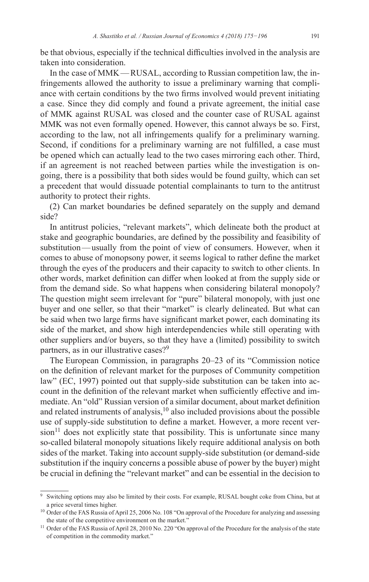be that obvious, especially if the technical difficulties involved in the analysis are taken into consideration.

In the case of MMK—RUSAL, according to Russian competition law, the infringements allowed the authority to issue a preliminary warning that compliance with certain conditions by the two firms involved would prevent initiating a case. Since they did comply and found a private agreement, the initial case of MMK against RUSAL was closed and the counter case of RUSAL against MMK was not even formally opened. However, this cannot always be so. First, according to the law, not all infringements qualify for a preliminary warning. Second, if conditions for a preliminary warning are not fulfilled, a case must be opened which can actually lead to the two cases mirroring each other. Third, if an agreement is not reached between parties while the investigation is ongoing, there is a possibility that both sides would be found guilty, which can set a precedent that would dissuade potential complainants to turn to the antitrust authority to protect their rights.

(2) Can market boundaries be defined separately on the supply and demand side?

In antitrust policies, "relevant markets", which delineate both the product at stake and geographic boundaries, are defined by the possibility and feasibility of substitution—usually from the point of view of consumers. However, when it comes to abuse of monopsony power, it seems logical to rather define the market through the eyes of the producers and their capacity to switch to other clients. In other words, market definition can differ when looked at from the supply side or from the demand side. So what happens when considering bilateral monopoly? The question might seem irrelevant for "pure" bilateral monopoly, with just one buyer and one seller, so that their "market" is clearly delineated. But what can be said when two large firms have significant market power, each dominating its side of the market, and show high interdependencies while still operating with other suppliers and/or buyers, so that they have a (limited) possibility to switch partners, as in our illustrative cases?<sup>9</sup>

The European Commission, in paragraphs 20–23 of its "Commission notice on the definition of relevant market for the purposes of Community competition law" (EC, 1997) pointed out that supply-side substitution can be taken into account in the definition of the relevant market when sufficiently effective and immediate. An "old" Russian version of a similar document, about market definition and related instruments of analysis, $10$  also included provisions about the possible use of supply-side substitution to define a market. However, a more recent ver- $\sinh^{-1}$  does not explicitly state that possibility. This is unfortunate since many so-called bilateral monopoly situations likely require additional analysis on both sides of the market. Taking into account supply-side substitution (or demand-side substitution if the inquiry concerns a possible abuse of power by the buyer) might be crucial in defining the "relevant market" and can be essential in the decision to

Switching options may also be limited by their costs. For example, RUSAL bought coke from China, but at a price several times higher.

<sup>&</sup>lt;sup>10</sup> Order of the FAS Russia of April 25, 2006 No. 108 "On approval of the Procedure for analyzing and assessing the state of the competitive environment on the market."

<sup>&</sup>lt;sup>11</sup> Order of the FAS Russia of April 28, 2010 No. 220 "On approval of the Procedure for the analysis of the state of competition in the commodity market."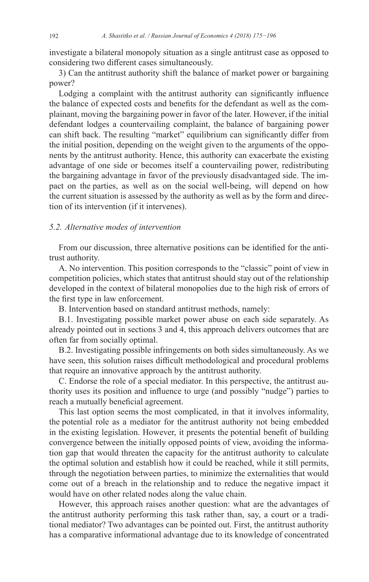investigate a bilateral monopoly situation as a single antitrust case as opposed to considering two different cases simultaneously.

3) Can the antitrust authority shift the balance of market power or bargaining power?

Lodging a complaint with the antitrust authority can significantly influence the balance of expected costs and benefits for the defendant as well as the complainant, moving the bargaining power in favor of the later. However, if the initial defendant lodges a countervailing complaint, the balance of bargaining power can shift back. The resulting "market" equilibrium can significantly differ from the initial position, depending on the weight given to the arguments of the opponents by the antitrust authority. Hence, this authority can exacerbate the existing advantage of one side or becomes itself a countervailing power, redistributing the bargaining advantage in favor of the previously disadvantaged side. The impact on the parties, as well as on the social well-being, will depend on how the current situation is assessed by the authority as well as by the form and direction of its intervention (if it intervenes).

### *5.2. Alternative modes of intervention*

From our discussion, three alternative positions can be identified for the antitrust authority.

A. No intervention. This position corresponds to the "classic" point of view in competition policies, which states that antitrust should stay out of the relationship developed in the context of bilateral monopolies due to the high risk of errors of the first type in law enforcement.

B. Intervention based on standard antitrust methods, namely:

B.1. Investigating possible market power abuse on each side separately. As already pointed out in sections 3 and 4, this approach delivers outcomes that are often far from socially optimal.

B.2. Investigating possible infringements on both sides simultaneously. As we have seen, this solution raises difficult methodological and procedural problems that require an innovative approach by the antitrust authority.

C. Endorse the role of a special mediator. In this perspective, the antitrust authority uses its position and influence to urge (and possibly "nudge") parties to reach a mutually beneficial agreement.

This last option seems the most complicated, in that it involves informality, the potential role as a mediator for the antitrust authority not being embedded in the existing legislation. However, it presents the potential benefit of building convergence between the initially opposed points of view, avoiding the information gap that would threaten the capacity for the antitrust authority to calculate the optimal solution and establish how it could be reached, while it still permits, through the negotiation between parties, to minimize the externalities that would come out of a breach in the relationship and to reduce the negative impact it would have on other related nodes along the value chain.

However, this approach raises another question: what are the advantages of the antitrust authority performing this task rather than, say, a court or a traditional mediator? Two advantages can be pointed out. First, the antitrust authority has a comparative informational advantage due to its knowledge of concentrated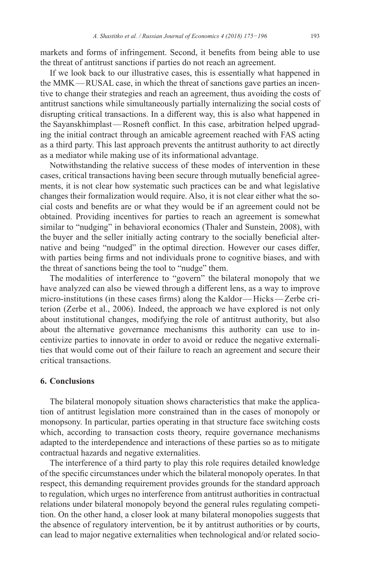markets and forms of infringement. Second, it benefits from being able to use the threat of antitrust sanctions if parties do not reach an agreement.

If we look back to our illustrative cases, this is essentially what happened in the MMK—RUSAL case, in which the threat of sanctions gave parties an incentive to change their strategies and reach an agreement, thus avoiding the costs of antitrust sanctions while simultaneously partially internalizing the social costs of disrupting critical transactions. In a different way, this is also what happened in the Sayanskhimplast—Rosneft conflict. In this case, arbitration helped upgrading the initial contract through an amicable agreement reached with FAS acting as a third party. This last approach prevents the antitrust authority to act directly as a mediator while making use of its informational advantage.

Notwithstanding the relative success of these modes of intervention in these cases, critical transactions having been secure through mutually beneficial agreements, it is not clear how systematic such practices can be and what legislative changes their formalization would require. Also, it is not clear either what the social costs and benefits are or what they would be if an agreement could not be obtained. Providing incentives for parties to reach an agreement is somewhat similar to "nudging" in behavioral economics (Thaler and Sunstein, 2008), with the buyer and the seller initially acting contrary to the socially beneficial alternative and being "nudged" in the optimal direction. However our cases differ, with parties being firms and not individuals prone to cognitive biases, and with the threat of sanctions being the tool to "nudge" them.

The modalities of interference to "govern" the bilateral monopoly that we have analyzed can also be viewed through a different lens, as a way to improve micro-institutions (in these cases firms) along the Kaldor—Hicks—Zerbe criterion (Zerbe et al., 2006). Indeed, the approach we have explored is not only about institutional changes, modifying the role of antitrust authority, but also about the alternative governance mechanisms this authority can use to incentivize parties to innovate in order to avoid or reduce the negative externalities that would come out of their failure to reach an agreement and secure their critical transactions.

### **6. Conclusions**

The bilateral monopoly situation shows characteristics that make the application of antitrust legislation more constrained than in the cases of monopoly or monopsony. In particular, parties operating in that structure face switching costs which, according to transaction costs theory, require governance mechanisms adapted to the interdependence and interactions of these parties so as to mitigate contractual hazards and negative externalities.

The interference of a third party to play this role requires detailed knowledge of the specific circumstances under which the bilateral monopoly operates. In that respect, this demanding requirement provides grounds for the standard approach to regulation, which urges no interference from antitrust authorities in contractual relations under bilateral monopoly beyond the general rules regulating competition. On the other hand, a closer look at many bilateral monopolies suggests that the absence of regulatory intervention, be it by antitrust authorities or by courts, can lead to major negative externalities when technological and/or related socio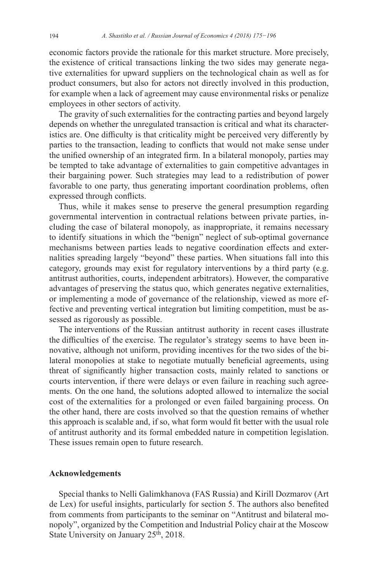economic factors provide the rationale for this market structure. More precisely, the existence of critical transactions linking the two sides may generate negative externalities for upward suppliers on the technological chain as well as for product consumers, but also for actors not directly involved in this production, for example when a lack of agreement may cause environmental risks or penalize employees in other sectors of activity.

The gravity of such externalities for the contracting parties and beyond largely depends on whether the unregulated transaction is critical and what its characteristics are. One difficulty is that criticality might be perceived very differently by parties to the transaction, leading to conflicts that would not make sense under the unified ownership of an integrated firm. In a bilateral monopoly, parties may be tempted to take advantage of externalities to gain competitive advantages in their bargaining power. Such strategies may lead to a redistribution of power favorable to one party, thus generating important coordination problems, often expressed through conflicts.

Thus, while it makes sense to preserve the general presumption regarding governmental intervention in contractual relations between private parties, including the case of bilateral monopoly, as inappropriate, it remains necessary to identify situations in which the "benign" neglect of sub-optimal governance mechanisms between parties leads to negative coordination effects and externalities spreading largely "beyond" these parties. When situations fall into this category, grounds may exist for regulatory interventions by a third party (e.g. antitrust authorities, courts, independent arbitrators). However, the comparative advantages of preserving the status quo, which generates negative externalities, or implementing a mode of governance of the relationship, viewed as more effective and preventing vertical integration but limiting competition, must be assessed as rigorously as possible.

The interventions of the Russian antitrust authority in recent cases illustrate the difficulties of the exercise. The regulator's strategy seems to have been innovative, although not uniform, providing incentives for the two sides of the bilateral monopolies at stake to negotiate mutually beneficial agreements, using threat of significantly higher transaction costs, mainly related to sanctions or courts intervention, if there were delays or even failure in reaching such agreements. On the one hand, the solutions adopted allowed to internalize the social cost of the externalities for a prolonged or even failed bargaining process. On the other hand, there are costs involved so that the question remains of whether this approach is scalable and, if so, what form would fit better with the usual role of antitrust authority and its formal embedded nature in competition legislation. These issues remain open to future research.

### **Acknowledgements**

Special thanks to Nelli Galimkhanova (FAS Russia) and Kirill Dozmarov (Art de Lex) for useful insights, particularly for section 5. The authors also benefited from comments from participants to the seminar on "Antitrust and bilateral monopoly", organized by the Competition and Industrial Policy chair at the Moscow State University on January 25<sup>th</sup>, 2018.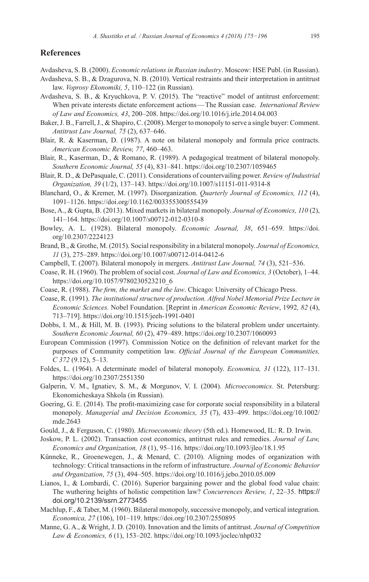# **References**

Avdasheva, S. B. (2000). *Economic relations in Russian industry*. Moscow: HSE Publ. (in Russian).

- Avdasheva, S. B., & Dzagurova, N. B. (2010). Vertical restraints and their interpretation in antitrust law. *Voprosy Ekonomiki, 5*, 110–122 (in Russian).
- Avdasheva, S. B., & Kryuchkova, P. V. (2015). The "reactive" model of antitrust enforcement: When private interests dictate enforcement actions—The Russian case. *International Review of Law and Economics, 43*, 200–208. <https://doi.org/10.1016/j.irle.2014.04.003>
- Baker, J. B., Farrell, J., & Shapiro, C. (2008). Merger to monopoly to serve a single buyer: Comment. *Antitrust Law Journal, 75* (2), 637–646.
- Blair, R. & Kaserman, D. (1987). A note on bilateral monopoly and formula price contracts. *American Economic Review, 77*, 460–463.
- Blair, R., Kaserman, D., & Romano, R. (1989). A pedagogical treatment of bilateral monopoly. *Southern Economic Journal, 55* (4), 831–841.<https://doi.org/10.2307/1059465>
- Blair, R. D., & DePasquale, C. (2011). Considerations of countervailing power. *Review of Industrial Organization, 39* (1/2), 137–143.<https://doi.org/10.1007/s11151-011-9314-8>
- Blanchard, O., & Kremer, M. (1997). Disorganization. *Quarterly Journal of Economics, 112* (4), 1091–1126.<https://doi.org/10.1162/003355300555439>
- Bose, A., & Gupta, B. (2013). Mixed markets in bilateral monopoly. *Journal of Economics, 110* (2), 141–164. <https://doi.org/10.1007/s00712-012-0310-8>
- Bowley, A. L. (1928). Bilateral monopoly. *Economic Journal, 38*, 651–659. [https://doi.](https://doi.org/10.2307/2224123) [org/10.2307/2224123](https://doi.org/10.2307/2224123)
- Brand, B., & Grothe, M. (2015). Social responsibility in a bilateral monopoly. *Journal of Economics, 11* (3), 275–289.<https://doi.org/10.1007/s00712-014-0412-6>
- Campbell, T. (2007). Bilateral monopoly in mergers. *Antitrust Law Journal, 74* (3), 521–536.
- Coase, R. H. (1960). The problem of social cost. *Journal of Law and Economics, 3* (October), 1–44. [https://doi.org/10.1057/9780230523210\\_6](https://doi.org/10.1057/9780230523210_6)
- Coase, R. (1988). *The firm, the market and the law*. Chicago: University of Chicago Press.
- Coase, R. (1991). *The institutional structure of production. Alfred Nobel Memorial Prize Lecture in Economic Sciences.* Nobel Foundation. [Reprint in *American Economic Review*, 1992*, 82* (4), 713–719]. <https://doi.org/10.1515/jeeh-1991-0401>
- Dobbs, I. M., & Hill, M. B. (1993). Pricing solutions to the bilateral problem under uncertainty. *Southern Economic Journal, 60* (2), 479–489.<https://doi.org/10.2307/1060093>
- European Commission (1997). Commission Notice on the definition of relevant market for the purposes of Community competition law. *Official Journal of the European Communities, C 372* (9.12), 5–13.
- Foldes, L. (1964). A determinate model of bilateral monopoly. *Economica, 31* (122), 117–131. <https://doi.org/10.2307/2551350>
- Galperin, V. M., Ignatiev, S. M., & Morgunov, V. I. (2004). *Microeconomics.* St. Petersburg: Ekonomicheskaya Shkola (in Russian).
- Goering, G. E. (2014). The profit-maximizing case for corporate social responsibility in a bilateral monopoly. *Managerial and Decision Economics, 35* (7), 433–499. [https://doi.org/10.1002/](https://doi.org/10.1002/mde.2643) [mde.2643](https://doi.org/10.1002/mde.2643)
- Gould, J., & Ferguson, C. (1980). *Microeconomic theory* (5th ed.). Homewood, IL: R. D. Irwin.
- Joskow, P. L. (2002). Transaction cost economics, antitrust rules and remedies. *Journal of Law, Economics and Organization, 18* (1), 95–116. <https://doi.org/10.1093/jleo/18.1.95>
- Künneke, R., Groenewegen, J., & Menard, C. (2010). Aligning modes of organization with technology: Critical transactions in the reform of infrastructure. *Journal of Economic Behavior and Organization*, *75* (3), 494–505. <https://doi.org/10.1016/j.jebo.2010.05.009>
- Lianos, I., & Lombardi, C. (2016). Superior bargaining power and the global food value chain: The wuthering heights of holistic competition law? *Concurrences Review, 1*, 22–35. [https://](https://doi.org/10.2139/ssrn.2773455) [doi.org/10.2139/ssrn.2773455](https://doi.org/10.2139/ssrn.2773455)
- Machlup, F., & Taber, M. (1960). Bilateral monopoly, successive monopoly, and vertical integration. *Economica, 27* (106), 101–119. <https://doi.org/10.2307/2550895>
- Manne, G. A., & Wright, J. D. (2010). Innovation and the limits of antitrust. *Journal of Competition Law & Economics, 6* (1), 153–202.<https://doi.org/10.1093/joclec/nhp032>